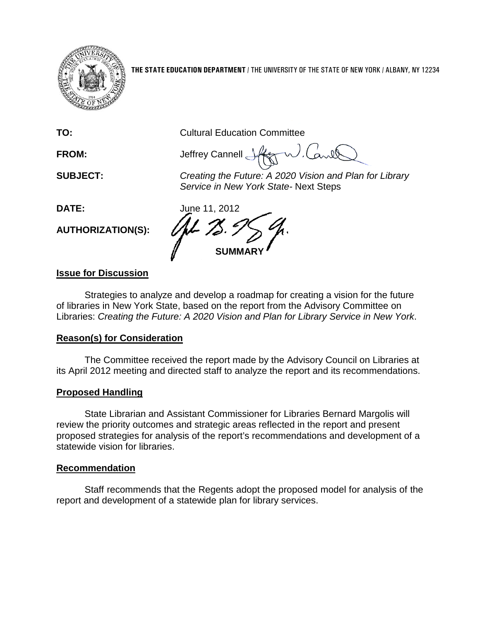

**THE STATE EDUCATION DEPARTMENT** / THE UNIVERSITY OF THE STATE OF NEW YORK / ALBANY, NY 12234

**TO:** Cultural Education Committee

**FROM:** Jeffrey Cannell

**SUBJECT:** *Creating the Future: A 2020 Vision and Plan for Library Service in New York State-* Next Steps

**AUTHORIZATION(S):**

**DATE:** June 11, 2012 **SUMMARY**

## **Issue for Discussion**

Strategies to analyze and develop a roadmap for creating a vision for the future of libraries in New York State, based on the report from the Advisory Committee on Libraries: *Creating the Future: A 2020 Vision and Plan for Library Service in New York*.

## **Reason(s) for Consideration**

The Committee received the report made by the Advisory Council on Libraries at its April 2012 meeting and directed staff to analyze the report and its recommendations.

## **Proposed Handling**

State Librarian and Assistant Commissioner for Libraries Bernard Margolis will review the priority outcomes and strategic areas reflected in the report and present proposed strategies for analysis of the report's recommendations and development of a statewide vision for libraries.

## **Recommendation**

Staff recommends that the Regents adopt the proposed model for analysis of the report and development of a statewide plan for library services.